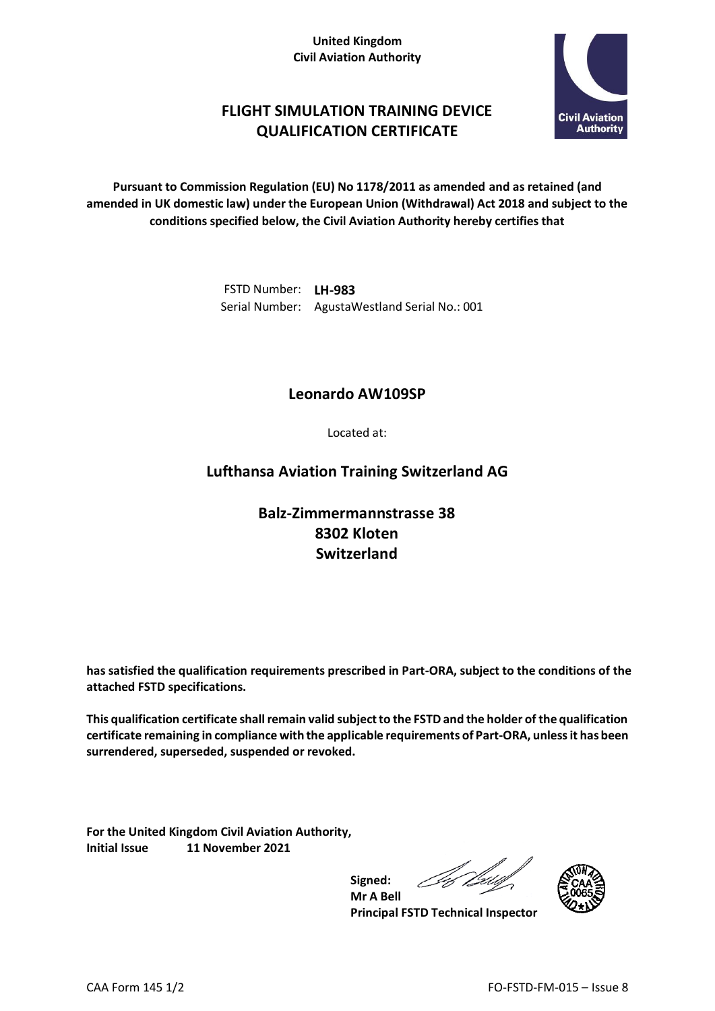#### **United Kingdom Civil Aviation Authority**



# **FLIGHT SIMULATION TRAINING DEVICE QUALIFICATION CERTIFICATE**

**Pursuant to Commission Regulation (EU) No 1178/2011 as amended and as retained (and amended in UK domestic law) under the European Union (Withdrawal) Act 2018 and subject to the conditions specified below, the Civil Aviation Authority hereby certifies that**

> FSTD Number: **LH-983** Serial Number: AgustaWestland Serial No.: 001

### **Leonardo AW109SP**

Located at:

## **Lufthansa Aviation Training Switzerland AG**

# **Balz-Zimmermannstrasse 38 8302 Kloten Switzerland**

**has satisfied the qualification requirements prescribed in Part-ORA, subject to the conditions of the attached FSTD specifications.**

**This qualification certificate shall remain valid subject to the FSTD and the holder of the qualification certificate remaining in compliance with the applicable requirements of Part-ORA, unless it has been surrendered, superseded, suspended or revoked.**

**Signed:**

**For the United Kingdom Civil Aviation Authority, Initial Issue 11 November 2021**



**Mr A Bell Principal FSTD Technical Inspector**